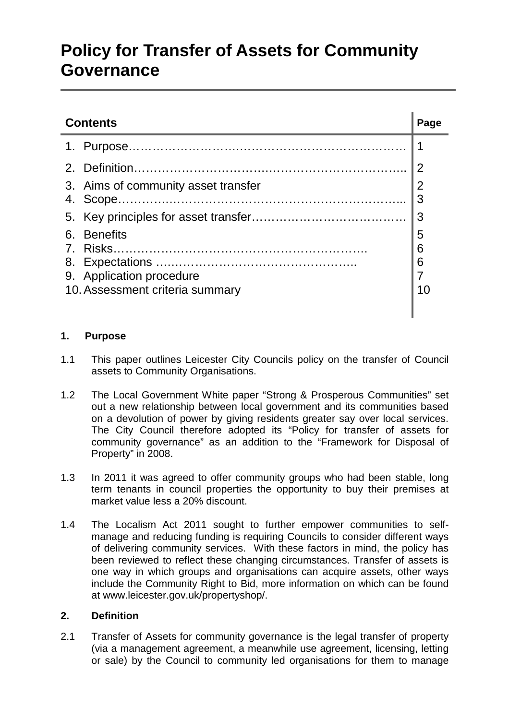# **Policy for Transfer of Assets for Community Governance**

| Page |
|------|
|      |
|      |
|      |
|      |
|      |
|      |
|      |
|      |
|      |
|      |
|      |
|      |

## **1. Purpose**

- 1.1 This paper outlines Leicester City Councils policy on the transfer of Council assets to Community Organisations.
- 1.2 The Local Government White paper "Strong & Prosperous Communities" set out a new relationship between local government and its communities based on a devolution of power by giving residents greater say over local services. The City Council therefore adopted its "Policy for transfer of assets for community governance" as an addition to the "Framework for Disposal of Property" in 2008.
- 1.3 In 2011 it was agreed to offer community groups who had been stable, long term tenants in council properties the opportunity to buy their premises at market value less a 20% discount.
- 1.4 The Localism Act 2011 sought to further empower communities to selfmanage and reducing funding is requiring Councils to consider different ways of delivering community services. With these factors in mind, the policy has been reviewed to reflect these changing circumstances. Transfer of assets is one way in which groups and organisations can acquire assets, other ways include the Community Right to Bid, more information on which can be found at www.leicester.gov.uk/propertyshop/.

## **2. Definition**

2.1 Transfer of Assets for community governance is the legal transfer of property (via a management agreement, a meanwhile use agreement, licensing, letting or sale) by the Council to community led organisations for them to manage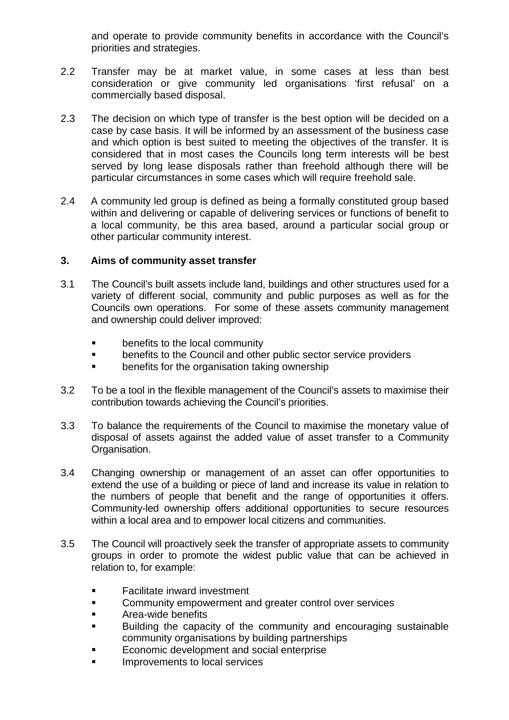and operate to provide community benefits in accordance with the Council's priorities and strategies.

- 2.2 Transfer may be at market value, in some cases at less than best consideration or give community led organisations 'first refusal' on a commercially based disposal.
- 2.3 The decision on which type of transfer is the best option will be decided on a case by case basis. It will be informed by an assessment of the business case and which option is best suited to meeting the objectives of the transfer. It is considered that in most cases the Councils long term interests will be best served by long lease disposals rather than freehold although there will be particular circumstances in some cases which will require freehold sale.
- 2.4 A community led group is defined as being a formally constituted group based within and delivering or capable of delivering services or functions of benefit to a local community, be this area based, around a particular social group or other particular community interest.

## **3. Aims of community asset transfer**

- 3.1 The Council's built assets include land, buildings and other structures used for a variety of different social, community and public purposes as well as for the Councils own operations. For some of these assets community management and ownership could deliver improved:
	- **benefits to the local community**<br>**benefits to the Council and other**
	- benefits to the Council and other public sector service providers
	- **EXECT** benefits for the organisation taking ownership
- 3.2 To be a tool in the flexible management of the Council's assets to maximise their contribution towards achieving the Council's priorities.
- 3.3 To balance the requirements of the Council to maximise the monetary value of disposal of assets against the added value of asset transfer to a Community Organisation.
- 3.4 Changing ownership or management of an asset can offer opportunities to extend the use of a building or piece of land and increase its value in relation to the numbers of people that benefit and the range of opportunities it offers. Community-led ownership offers additional opportunities to secure resources within a local area and to empower local citizens and communities.
- 3.5 The Council will proactively seek the transfer of appropriate assets to community groups in order to promote the widest public value that can be achieved in relation to, for example:
	- Facilitate inward investment
	- Community empowerment and greater control over services
	- Area-wide benefits
	- Building the capacity of the community and encouraging sustainable community organisations by building partnerships
	- Economic development and social enterprise
	- Improvements to local services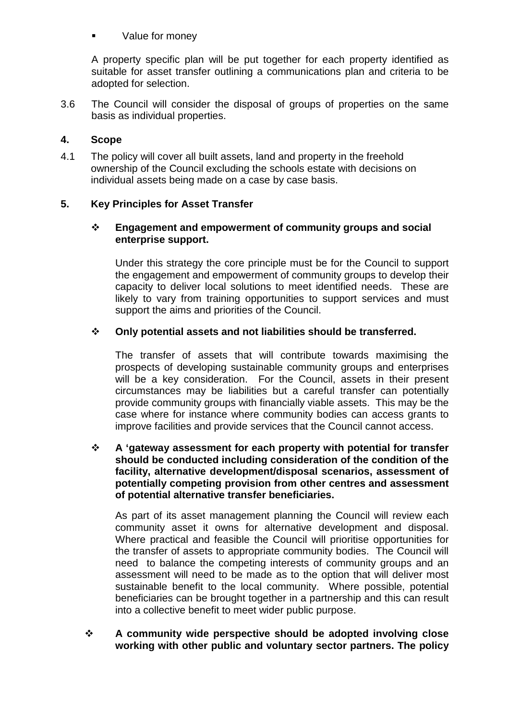### Value for money

A property specific plan will be put together for each property identified as suitable for asset transfer outlining a communications plan and criteria to be adopted for selection.

3.6 The Council will consider the disposal of groups of properties on the same basis as individual properties.

### **4. Scope**

4.1 The policy will cover all built assets, land and property in the freehold ownership of the Council excluding the schools estate with decisions on individual assets being made on a case by case basis.

## **5. Key Principles for Asset Transfer**

#### **Engagement and empowerment of community groups and social enterprise support.**

Under this strategy the core principle must be for the Council to support the engagement and empowerment of community groups to develop their capacity to deliver local solutions to meet identified needs. These are likely to vary from training opportunities to support services and must support the aims and priorities of the Council.

#### **Only potential assets and not liabilities should be transferred.**

The transfer of assets that will contribute towards maximising the prospects of developing sustainable community groups and enterprises will be a key consideration. For the Council, assets in their present circumstances may be liabilities but a careful transfer can potentially provide community groups with financially viable assets. This may be the case where for instance where community bodies can access grants to improve facilities and provide services that the Council cannot access.

 **A 'gateway assessment for each property with potential for transfer should be conducted including consideration of the condition of the facility, alternative development/disposal scenarios, assessment of potentially competing provision from other centres and assessment of potential alternative transfer beneficiaries.**

As part of its asset management planning the Council will review each community asset it owns for alternative development and disposal. Where practical and feasible the Council will prioritise opportunities for the transfer of assets to appropriate community bodies. The Council will need to balance the competing interests of community groups and an assessment will need to be made as to the option that will deliver most sustainable benefit to the local community. Where possible, potential beneficiaries can be brought together in a partnership and this can result into a collective benefit to meet wider public purpose.

 **A community wide perspective should be adopted involving close working with other public and voluntary sector partners. The policy**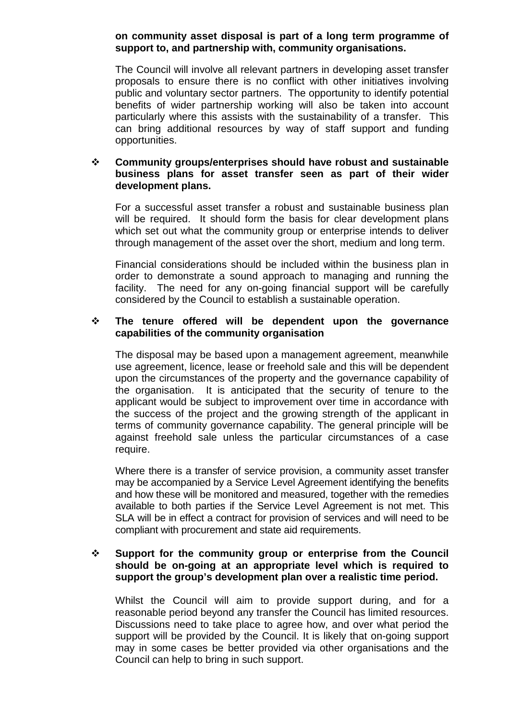#### **on community asset disposal is part of a long term programme of support to, and partnership with, community organisations.**

The Council will involve all relevant partners in developing asset transfer proposals to ensure there is no conflict with other initiatives involving public and voluntary sector partners. The opportunity to identify potential benefits of wider partnership working will also be taken into account particularly where this assists with the sustainability of a transfer. This can bring additional resources by way of staff support and funding opportunities.

#### **Community groups/enterprises should have robust and sustainable business plans for asset transfer seen as part of their wider development plans.**

For a successful asset transfer a robust and sustainable business plan will be required. It should form the basis for clear development plans which set out what the community group or enterprise intends to deliver through management of the asset over the short, medium and long term.

Financial considerations should be included within the business plan in order to demonstrate a sound approach to managing and running the facility. The need for any on-going financial support will be carefully considered by the Council to establish a sustainable operation.

#### **The tenure offered will be dependent upon the governance capabilities of the community organisation**

The disposal may be based upon a management agreement, meanwhile use agreement, licence, lease or freehold sale and this will be dependent upon the circumstances of the property and the governance capability of the organisation. It is anticipated that the security of tenure to the applicant would be subject to improvement over time in accordance with the success of the project and the growing strength of the applicant in terms of community governance capability. The general principle will be against freehold sale unless the particular circumstances of a case require.

Where there is a transfer of service provision, a community asset transfer may be accompanied by a Service Level Agreement identifying the benefits and how these will be monitored and measured, together with the remedies available to both parties if the Service Level Agreement is not met. This SLA will be in effect a contract for provision of services and will need to be compliant with procurement and state aid requirements.

#### **Support for the community group or enterprise from the Council should be on-going at an appropriate level which is required to support the group's development plan over a realistic time period.**

Whilst the Council will aim to provide support during, and for a reasonable period beyond any transfer the Council has limited resources. Discussions need to take place to agree how, and over what period the support will be provided by the Council. It is likely that on-going support may in some cases be better provided via other organisations and the Council can help to bring in such support.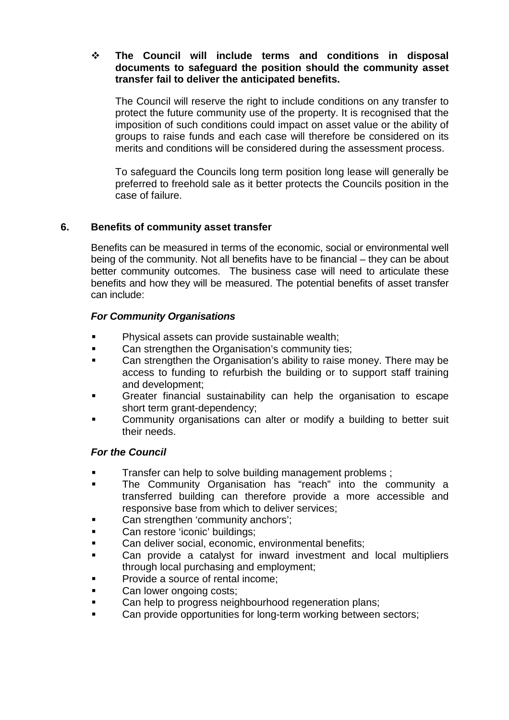#### **The Council will include terms and conditions in disposal documents to safeguard the position should the community asset transfer fail to deliver the anticipated benefits.**

The Council will reserve the right to include conditions on any transfer to protect the future community use of the property. It is recognised that the imposition of such conditions could impact on asset value or the ability of groups to raise funds and each case will therefore be considered on its merits and conditions will be considered during the assessment process.

To safeguard the Councils long term position long lease will generally be preferred to freehold sale as it better protects the Councils position in the case of failure.

## **6. Benefits of community asset transfer**

Benefits can be measured in terms of the economic, social or environmental well being of the community. Not all benefits have to be financial – they can be about better community outcomes. The business case will need to articulate these benefits and how they will be measured. The potential benefits of asset transfer can include:

#### *For Community Organisations*

- Physical assets can provide sustainable wealth;
- Can strengthen the Organisation's community ties;
- Can strengthen the Organisation's ability to raise money. There may be access to funding to refurbish the building or to support staff training and development;
- Greater financial sustainability can help the organisation to escape short term grant-dependency;
- Community organisations can alter or modify a building to better suit their needs.

#### *For the Council*

- Transfer can help to solve building management problems ;
- **The Community Organisation has "reach" into the community a** transferred building can therefore provide a more accessible and responsive base from which to deliver services;
- Can strengthen 'community anchors';
- Can restore 'iconic' buildings;
- Can deliver social, economic, environmental benefits;
- Can provide a catalyst for inward investment and local multipliers through local purchasing and employment;
- Provide a source of rental income;
- Can lower ongoing costs;
- Can help to progress neighbourhood regeneration plans;
- Can provide opportunities for long-term working between sectors;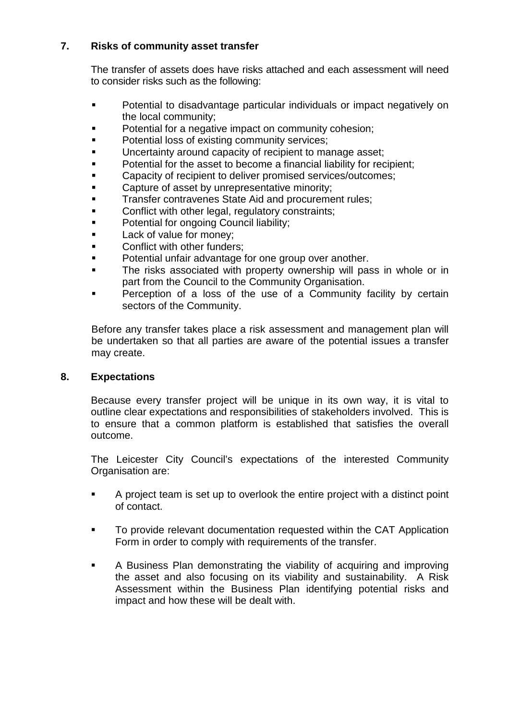## **7. Risks of community asset transfer**

The transfer of assets does have risks attached and each assessment will need to consider risks such as the following:

- **Potential to disadvantage particular individuals or impact negatively on** the local community;
- Potential for a negative impact on community cohesion;
- Potential loss of existing community services;
- Uncertainty around capacity of recipient to manage asset;
- Potential for the asset to become a financial liability for recipient;
- Capacity of recipient to deliver promised services/outcomes;
- Capture of asset by unrepresentative minority;
- Transfer contravenes State Aid and procurement rules;
- Conflict with other legal, regulatory constraints;
- Potential for ongoing Council liability;
- Lack of value for money;
- Conflict with other funders;
- Potential unfair advantage for one group over another.
- The risks associated with property ownership will pass in whole or in part from the Council to the Community Organisation.
- Perception of a loss of the use of a Community facility by certain sectors of the Community.

Before any transfer takes place a risk assessment and management plan will be undertaken so that all parties are aware of the potential issues a transfer may create.

#### **8. Expectations**

Because every transfer project will be unique in its own way, it is vital to outline clear expectations and responsibilities of stakeholders involved. This is to ensure that a common platform is established that satisfies the overall outcome.

The Leicester City Council's expectations of the interested Community Organisation are:

- A project team is set up to overlook the entire project with a distinct point of contact.
- To provide relevant documentation requested within the CAT Application Form in order to comply with requirements of the transfer.
- A Business Plan demonstrating the viability of acquiring and improving the asset and also focusing on its viability and sustainability. A Risk Assessment within the Business Plan identifying potential risks and impact and how these will be dealt with.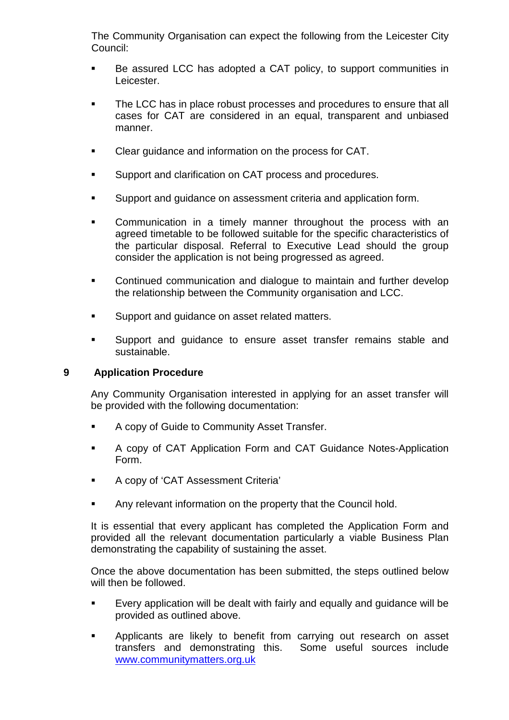The Community Organisation can expect the following from the Leicester City Council:

- Be assured LCC has adopted a CAT policy, to support communities in Leicester.
- The LCC has in place robust processes and procedures to ensure that all cases for CAT are considered in an equal, transparent and unbiased manner.
- Clear guidance and information on the process for CAT.
- **Support and clarification on CAT process and procedures.**
- Support and guidance on assessment criteria and application form.
- Communication in a timely manner throughout the process with an agreed timetable to be followed suitable for the specific characteristics of the particular disposal. Referral to Executive Lead should the group consider the application is not being progressed as agreed.
- Continued communication and dialogue to maintain and further develop the relationship between the Community organisation and LCC.
- **Support and quidance on asset related matters.**
- **Support and guidance to ensure asset transfer remains stable and** sustainable.

#### **9 Application Procedure**

Any Community Organisation interested in applying for an asset transfer will be provided with the following documentation:

- **A copy of Guide to Community Asset Transfer.**
- A copy of CAT Application Form and CAT Guidance Notes-Application Form.
- **A copy of 'CAT Assessment Criteria'**
- Any relevant information on the property that the Council hold.

It is essential that every applicant has completed the Application Form and provided all the relevant documentation particularly a viable Business Plan demonstrating the capability of sustaining the asset.

Once the above documentation has been submitted, the steps outlined below will then be followed.

- Every application will be dealt with fairly and equally and guidance will be provided as outlined above.
- Applicants are likely to benefit from carrying out research on asset transfers and demonstrating this. Some useful sources include [www.communitymatters.org.uk](http://www.communitymatters.org.uk/)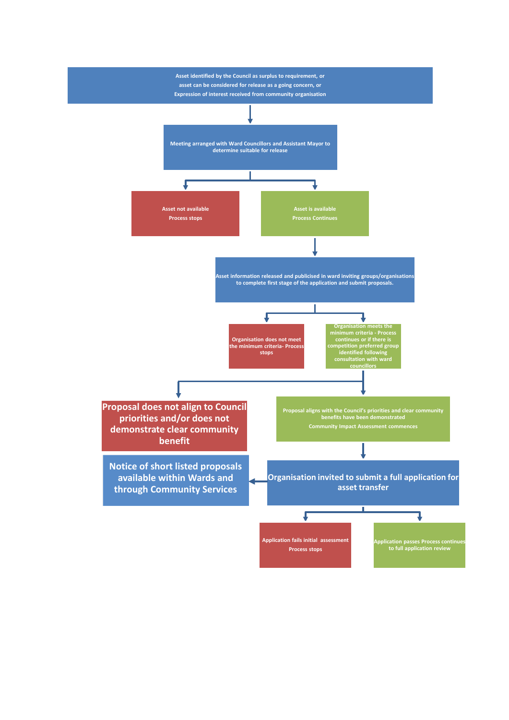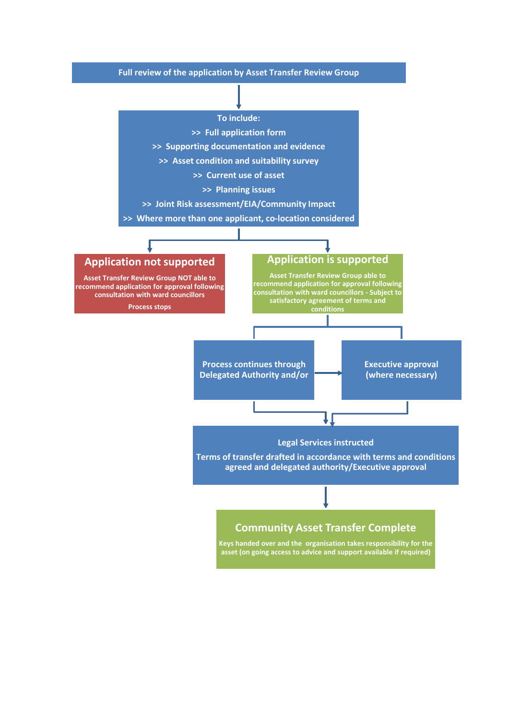